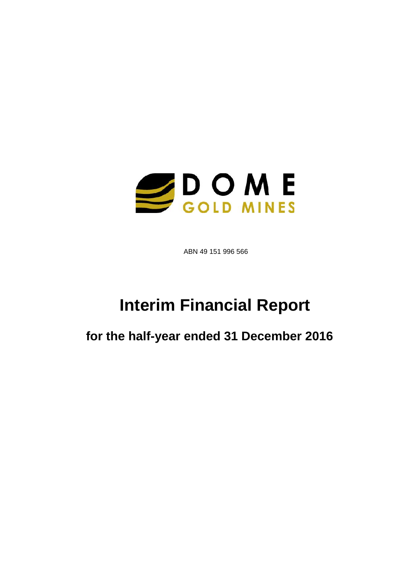

ABN 49 151 996 566

# **Interim Financial Report**

**for the half-year ended 31 December 2016**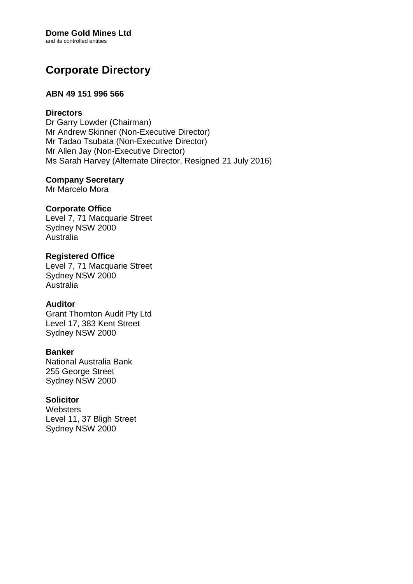### **Dome Gold Mines Ltd**

and its controlled entities

# **Corporate Directory**

### **ABN 49 151 996 566**

### **Directors**

Dr Garry Lowder (Chairman) Mr Andrew Skinner (Non-Executive Director) Mr Tadao Tsubata (Non-Executive Director) Mr Allen Jay (Non-Executive Director) Ms Sarah Harvey (Alternate Director, Resigned 21 July 2016)

### **Company Secretary**

Mr Marcelo Mora

### **Corporate Office**

Level 7, 71 Macquarie Street Sydney NSW 2000 Australia

### **Registered Office** Level 7, 71 Macquarie Street Sydney NSW 2000 Australia

### **Auditor**

Grant Thornton Audit Pty Ltd Level 17, 383 Kent Street Sydney NSW 2000

### **Banker**

National Australia Bank 255 George Street Sydney NSW 2000

### **Solicitor**

**Websters** Level 11, 37 Bligh Street Sydney NSW 2000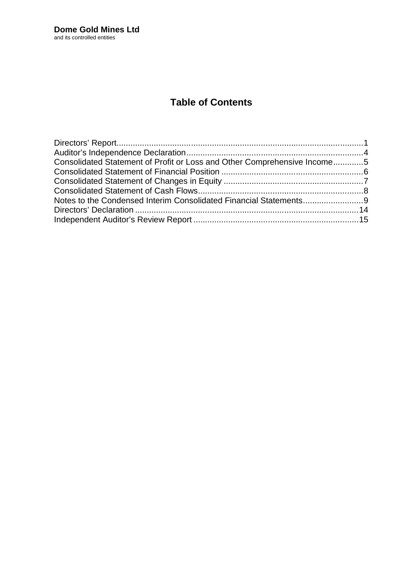# **Table of Contents**

| Consolidated Statement of Profit or Loss and Other Comprehensive Income5 |  |
|--------------------------------------------------------------------------|--|
|                                                                          |  |
|                                                                          |  |
|                                                                          |  |
|                                                                          |  |
|                                                                          |  |
|                                                                          |  |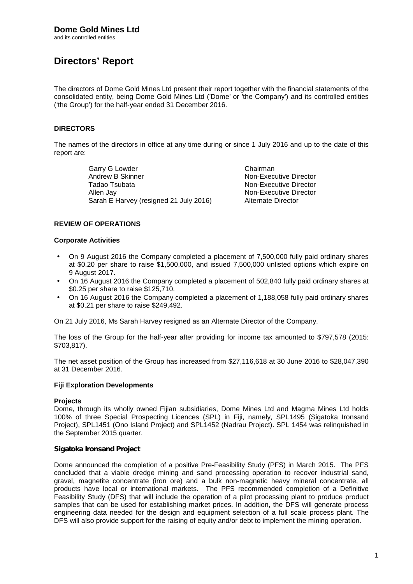**Directors' Report**

The directors of Dome Gold Mines Ltd present their report together with the financial statements of the consolidated entity, being Dome Gold Mines Ltd ('Dome' or 'the Company') and its controlled entities ('the Group') for the half-year ended 31 December 2016.

### **DIRECTORS**

The names of the directors in office at any time during or since 1 July 2016 and up to the date of this report are:

> Garry G Lowder **Chairman**<br>
> Andrew B Skinner Chairman<br>
> Non-Exec Tadao Tsubata Non-Executive Director Allen Jay<br>
> Sarah E Harvey (resigned 21 July 2016) Alternate Director Sarah E Harvey (resigned 21 July 2016)

**Non-Executive Director** 

### **REVIEW OF OPERATIONS**

#### **Corporate Activities**

- On 9 August 2016 the Company completed a placement of 7,500,000 fully paid ordinary shares at \$0.20 per share to raise \$1,500,000, and issued 7,500,000 unlisted options which expire on 9 August 2017.
- On 16 August 2016 the Company completed a placement of 502,840 fully paid ordinary shares at \$0.25 per share to raise \$125,710.
- On 16 August 2016 the Company completed a placement of 1,188,058 fully paid ordinary shares at \$0.21 per share to raise \$249,492.

On 21 July 2016, Ms Sarah Harvey resigned as an Alternate Director of the Company.

The loss of the Group for the half-year after providing for income tax amounted to \$797,578 (2015: \$703,817).

The net asset position of the Group has increased from \$27,116,618 at 30 June 2016 to \$28,047,390 at 31 December 2016.

### **Fiji Exploration Developments**

#### **Projects**

Dome, through its wholly owned Fijian subsidiaries, Dome Mines Ltd and Magma Mines Ltd holds 100% of three Special Prospecting Licences (SPL) in Fiji, namely, SPL1495 (Sigatoka Ironsand Project), SPL1451 (Ono Island Project) and SPL1452 (Nadrau Project). SPL 1454 was relinquished in the September 2015 quarter.

### *Sigatoka Ironsand Project*

Dome announced the completion of a positive Pre-Feasibility Study (PFS) in March 2015. The PFS concluded that a viable dredge mining and sand processing operation to recover industrial sand, gravel, magnetite concentrate (iron ore) and a bulk non-magnetic heavy mineral concentrate, all products have local or international markets. The PFS recommended completion of a Definitive Feasibility Study (DFS) that will include the operation of a pilot processing plant to produce product samples that can be used for establishing market prices. In addition, the DFS will generate process engineering data needed for the design and equipment selection of a full scale process plant. The DFS will also provide support for the raising of equity and/or debt to implement the mining operation.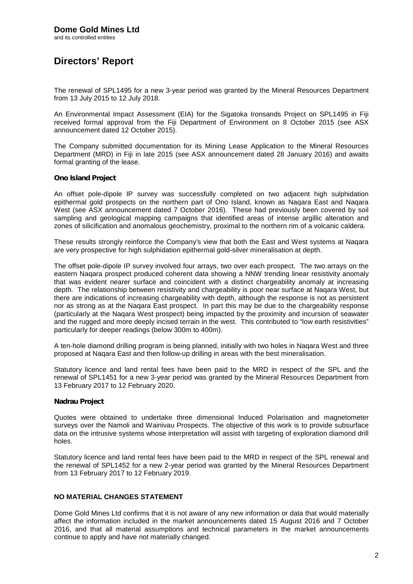# **Directors' Report**

The renewal of SPL1495 for a new 3-year period was granted by the Mineral Resources Department from 13 July 2015 to 12 July 2018.

An Environmental Impact Assessment (EIA) for the Sigatoka Ironsands Project on SPL1495 in Fiji received formal approval from the Fiji Department of Environment on 8 October 2015 (see ASX announcement dated 12 October 2015).

The Company submitted documentation for its Mining Lease Application to the Mineral Resources Department (MRD) in Fiji in late 2015 (see ASX announcement dated 28 January 2016) and awaits formal granting of the lease.

#### *Ono Island Project*

An offset pole-dipole IP survey was successfully completed on two adjacent high sulphidation epithermal gold prospects on the northern part of Ono Island, known as Naqara East and Naqara West (see ASX announcement dated 7 October 2016). These had previously been covered by soil sampling and geological mapping campaigns that identified areas of intense argillic alteration and zones of silicification and anomalous geochemistry, proximal to the northern rim of a volcanic caldera.

These results strongly reinforce the Company's view that both the East and West systems at Naqara are very prospective for high sulphidation epithermal gold-silver mineralisation at depth.

The offset pole-dipole IP survey involved four arrays, two over each prospect. The two arrays on the eastern Naqara prospect produced coherent data showing a NNW trending linear resistivity anomaly that was evident nearer surface and coincident with a distinct chargeability anomaly at increasing depth. The relationship between resistivity and chargeability is poor near surface at Naqara West, but there are indications of increasing chargeability with depth, although the response is not as persistent nor as strong as at the Naqara East prospect. In part this may be due to the chargeability response (particularly at the Naqara West prospect) being impacted by the proximity and incursion of seawater and the rugged and more deeply incised terrain in the west. This contributed to "low earth resistivities" particularly for deeper readings (below 300m to 400m).

A ten-hole diamond drilling program is being planned, initially with two holes in Naqara West and three proposed at Naqara East and then follow-up drilling in areas with the best mineralisation.

Statutory licence and land rental fees have been paid to the MRD in respect of the SPL and the renewal of SPL1451 for a new 3-year period was granted by the Mineral Resources Department from 13 February 2017 to 12 February 2020.

### *Nadrau Project*

Quotes were obtained to undertake three dimensional Induced Polarisation and magnetometer surveys over the Namoli and Wainivau Prospects. The objective of this work is to provide subsurface data on the intrusive systems whose interpretation will assist with targeting of exploration diamond drill holes.

Statutory licence and land rental fees have been paid to the MRD in respect of the SPL renewal and the renewal of SPL1452 for a new 2-year period was granted by the Mineral Resources Department from 13 February 2017 to 12 February 2019.

### **NO MATERIAL CHANGES STATEMENT**

Dome Gold Mines Ltd confirms that it is not aware of any new information or data that would materially affect the information included in the market announcements dated 15 August 2016 and 7 October 2016, and that all material assumptions and technical parameters in the market announcements continue to apply and have not materially changed.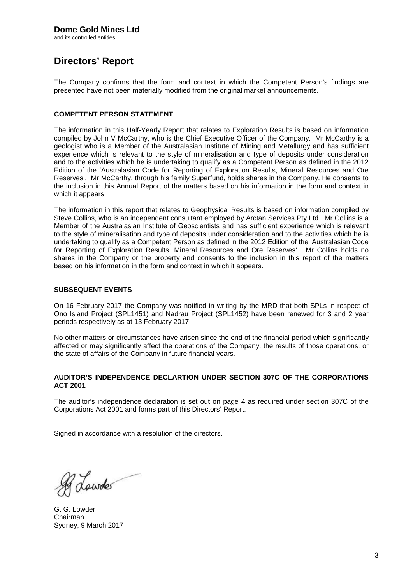and its controlled entities

# **Directors' Report**

The Company confirms that the form and context in which the Competent Person's findings are presented have not been materially modified from the original market announcements.

### **COMPETENT PERSON STATEMENT**

The information in this Half-Yearly Report that relates to Exploration Results is based on information compiled by John V McCarthy, who is the Chief Executive Officer of the Company. Mr McCarthy is a geologist who is a Member of the Australasian Institute of Mining and Metallurgy and has sufficient experience which is relevant to the style of mineralisation and type of deposits under consideration and to the activities which he is undertaking to qualify as a Competent Person as defined in the 2012 Edition of the 'Australasian Code for Reporting of Exploration Results, Mineral Resources and Ore Reserves'. Mr McCarthy, through his family Superfund, holds shares in the Company. He consents to the inclusion in this Annual Report of the matters based on his information in the form and context in which it appears.

The information in this report that relates to Geophysical Results is based on information compiled by Steve Collins, who is an independent consultant employed by Arctan Services Pty Ltd. Mr Collins is a Member of the Australasian Institute of Geoscientists and has sufficient experience which is relevant to the style of mineralisation and type of deposits under consideration and to the activities which he is undertaking to qualify as a Competent Person as defined in the 2012 Edition of the 'Australasian Code for Reporting of Exploration Results, Mineral Resources and Ore Reserves'. Mr Collins holds no shares in the Company or the property and consents to the inclusion in this report of the matters based on his information in the form and context in which it appears.

### **SUBSEQUENT EVENTS**

On 16 February 2017 the Company was notified in writing by the MRD that both SPLs in respect of Ono Island Project (SPL1451) and Nadrau Project (SPL1452) have been renewed for 3 and 2 year periods respectively as at 13 February 2017.

No other matters or circumstances have arisen since the end of the financial period which significantly affected or may significantly affect the operations of the Company, the results of those operations, or the state of affairs of the Company in future financial years.

#### **AUDITOR'S INDEPENDENCE DECLARTION UNDER SECTION 307C OF THE CORPORATIONS ACT 2001**

The auditor's independence declaration is set out on page 4 as required under section 307C of the Corporations Act 2001 and forms part of this Directors' Report.

Signed in accordance with a resolution of the directors.

R Lowder

G. G. Lowder Chairman Sydney, 9 March 2017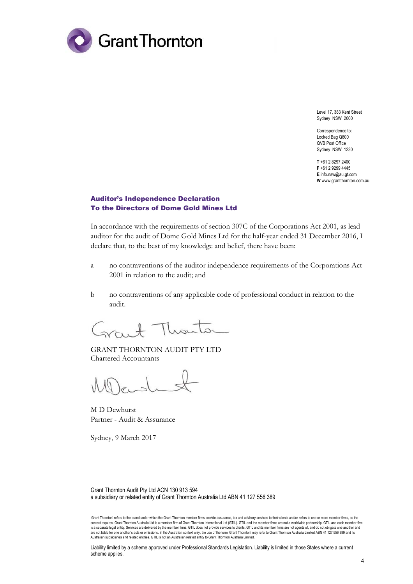

Level 17, 383 Kent Street Sydney NSW 2000

Correspondence to: Locked Bag Q800 QVB Post Office Sydney NSW 1230

**T** +61 2 8297 2400 **F** +61 2 9299 4445 **E** info.nsw@au.gt.com **W** www.grantthornton.com.au

### Auditor's Independence Declaration To the Directors of Dome Gold Mines Ltd

In accordance with the requirements of section 307C of the Corporations Act 2001, as lead auditor for the audit of Dome Gold Mines Ltd for the half-year ended 31 December 2016, I declare that, to the best of my knowledge and belief, there have been:

- a no contraventions of the auditor independence requirements of the Corporations Act 2001 in relation to the audit; and
- b no contraventions of any applicable code of professional conduct in relation to the audit.

 $rac{1}{20}$ 

GRANT THORNTON AUDIT PTY LTD Chartered Accountants

M D Dewhurst Partner - Audit & Assurance

Sydney, 9 March 2017

Grant Thornton Audit Pty Ltd ACN 130 913 594 a subsidiary or related entity of Grant Thornton Australia Ltd ABN 41 127 556 389

Liability limited by a scheme approved under Professional Standards Legislation. Liability is limited in those States where a current scheme applies.

<sup>&#</sup>x27;Grant Thornton' refers to the brand under which the Grant Thornton member firms provide assurance, tax and advisory services to their clients and/or refers to one or more member firms, as the context requires. Grant Thomton Australia Ltd is a member firm of Grant Thomton International Ltd (GTIL). GTIL and the member firms are not a worldwide partnership. GTIL and each member firm<br>is a separate legal entity. Ser are not liable for one another's acts or omissions. In the Australian context only, the use of the term 'Grant Thornton' may refer to Grant Thornton Australia Limited ABN 41 127 556 389 and its<br>Australian subsidiaries and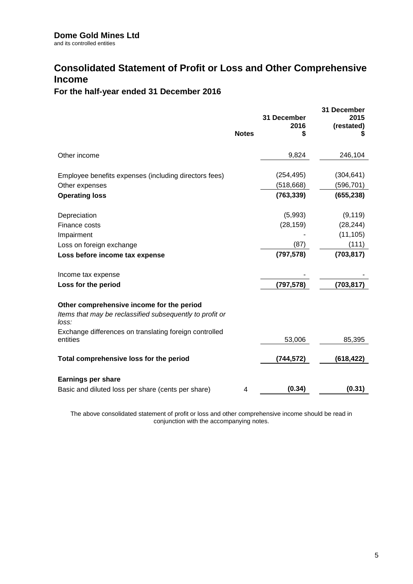# **Consolidated Statement of Profit or Loss and Other Comprehensive Income**

### **For the half-year ended 31 December 2016**

|                                                                                                                | <b>Notes</b> | 31 December<br>2016<br>S | 31 December<br>2015<br>(restated) |
|----------------------------------------------------------------------------------------------------------------|--------------|--------------------------|-----------------------------------|
| Other income                                                                                                   |              | 9,824                    | 246,104                           |
|                                                                                                                |              |                          |                                   |
| Employee benefits expenses (including directors fees)                                                          |              | (254, 495)               | (304, 641)                        |
| Other expenses                                                                                                 |              | (518, 668)               | (596, 701)                        |
| <b>Operating loss</b>                                                                                          |              | (763, 339)               | (655, 238)                        |
| Depreciation                                                                                                   |              | (5,993)                  | (9, 119)                          |
| Finance costs                                                                                                  |              | (28, 159)                | (28, 244)                         |
| Impairment                                                                                                     |              |                          | (11, 105)                         |
| Loss on foreign exchange                                                                                       |              | (87)                     | (111)                             |
| Loss before income tax expense                                                                                 |              | (797, 578)               | (703, 817)                        |
| Income tax expense                                                                                             |              |                          |                                   |
| Loss for the period                                                                                            |              | (797, 578)               | (703, 817)                        |
| Other comprehensive income for the period<br>Items that may be reclassified subsequently to profit or<br>loss: |              |                          |                                   |
| Exchange differences on translating foreign controlled<br>entities                                             |              | 53,006                   | 85,395                            |
| Total comprehensive loss for the period                                                                        |              | (744,572)                | (618,422)                         |
| <b>Earnings per share</b>                                                                                      |              |                          |                                   |
| Basic and diluted loss per share (cents per share)                                                             | 4            | (0.34)                   | (0.31)                            |
|                                                                                                                |              |                          |                                   |

The above consolidated statement of profit or loss and other comprehensive income should be read in conjunction with the accompanying notes.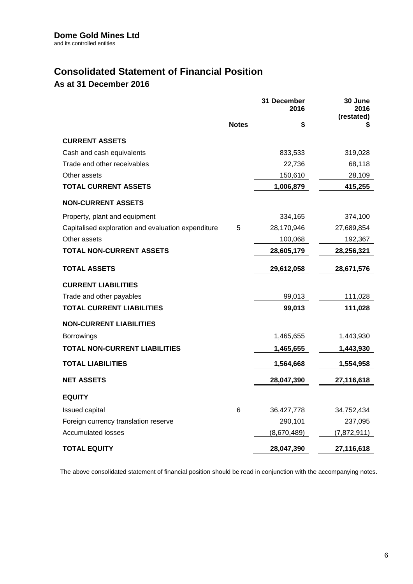# **Consolidated Statement of Financial Position**

### **As at 31 December 2016**

|                                                    |              | 31 December<br>2016 | 30 June<br>2016<br>(restated) |
|----------------------------------------------------|--------------|---------------------|-------------------------------|
|                                                    | <b>Notes</b> | \$                  | S                             |
| <b>CURRENT ASSETS</b>                              |              |                     |                               |
| Cash and cash equivalents                          |              | 833,533             | 319,028                       |
| Trade and other receivables                        |              | 22,736              | 68,118                        |
| Other assets                                       |              | 150,610             | 28,109                        |
| <b>TOTAL CURRENT ASSETS</b>                        |              | 1,006,879           | 415,255                       |
| <b>NON-CURRENT ASSETS</b>                          |              |                     |                               |
| Property, plant and equipment                      |              | 334,165             | 374,100                       |
| Capitalised exploration and evaluation expenditure | $\sqrt{5}$   | 28,170,946          | 27,689,854                    |
| Other assets                                       |              | 100,068             | 192,367                       |
| <b>TOTAL NON-CURRENT ASSETS</b>                    |              | 28,605,179          | 28,256,321                    |
| <b>TOTAL ASSETS</b>                                |              | 29,612,058          | 28,671,576                    |
| <b>CURRENT LIABILITIES</b>                         |              |                     |                               |
| Trade and other payables                           |              | 99,013              | 111,028                       |
| <b>TOTAL CURRENT LIABILITIES</b>                   |              | 99,013              | 111,028                       |
| <b>NON-CURRENT LIABILITIES</b>                     |              |                     |                               |
| <b>Borrowings</b>                                  |              | 1,465,655           | 1,443,930                     |
| <b>TOTAL NON-CURRENT LIABILITIES</b>               |              | 1,465,655           | 1,443,930                     |
| <b>TOTAL LIABILITIES</b>                           |              | 1,564,668           | 1,554,958                     |
| <b>NET ASSETS</b>                                  |              | 28,047,390          | 27,116,618                    |
| <b>EQUITY</b>                                      |              |                     |                               |
| Issued capital                                     | 6            | 36,427,778          | 34,752,434                    |
| Foreign currency translation reserve               |              | 290,101             | 237,095                       |
| <b>Accumulated losses</b>                          |              | (8,670,489)         | (7,872,911)                   |
| TOTAL EQUITY                                       |              | 28,047,390          | 27,116,618                    |

The above consolidated statement of financial position should be read in conjunction with the accompanying notes.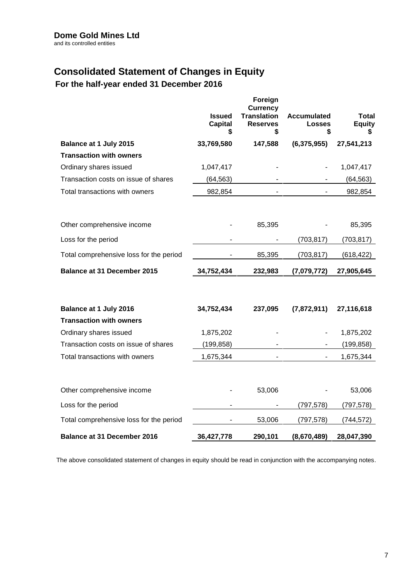# **Consolidated Statement of Changes in Equity**

**For the half-year ended 31 December 2016**

|                                         | <b>Issued</b><br><b>Capital</b><br>\$ | Foreign<br><b>Currency</b><br><b>Translation</b><br><b>Reserves</b><br>\$ | <b>Accumulated</b><br><b>Losses</b><br>\$ | <b>Total</b><br><b>Equity</b> |
|-----------------------------------------|---------------------------------------|---------------------------------------------------------------------------|-------------------------------------------|-------------------------------|
| Balance at 1 July 2015                  | 33,769,580                            | 147,588                                                                   | (6,375,955)                               | 27,541,213                    |
| <b>Transaction with owners</b>          |                                       |                                                                           |                                           |                               |
| Ordinary shares issued                  | 1,047,417                             |                                                                           |                                           | 1,047,417                     |
| Transaction costs on issue of shares    | (64, 563)                             |                                                                           |                                           | (64, 563)                     |
| Total transactions with owners          | 982,854                               | $\blacksquare$                                                            |                                           | 982,854                       |
| Other comprehensive income              |                                       | 85,395                                                                    |                                           | 85,395                        |
| Loss for the period                     |                                       |                                                                           | (703, 817)                                | (703, 817)                    |
| Total comprehensive loss for the period |                                       | 85,395                                                                    | (703, 817)                                | (618, 422)                    |
| <b>Balance at 31 December 2015</b>      | 34,752,434                            | 232,983                                                                   | (7,079,772)                               | 27,905,645                    |
| Balance at 1 July 2016                  | 34,752,434                            | 237,095                                                                   | (7,872,911)                               | 27,116,618                    |
| <b>Transaction with owners</b>          |                                       |                                                                           |                                           |                               |
| Ordinary shares issued                  | 1,875,202                             |                                                                           |                                           | 1,875,202                     |
| Transaction costs on issue of shares    | (199, 858)                            |                                                                           |                                           | (199, 858)                    |
| Total transactions with owners          | 1,675,344                             | $\blacksquare$                                                            | $\overline{\phantom{a}}$                  | 1,675,344                     |
| Other comprehensive income              |                                       | 53,006                                                                    |                                           | 53,006                        |
| Loss for the period                     |                                       |                                                                           | (797, 578)                                | (797, 578)                    |
| Total comprehensive loss for the period |                                       | 53,006                                                                    | (797, 578)                                | (744, 572)                    |
| <b>Balance at 31 December 2016</b>      | 36,427,778                            | 290,101                                                                   | (8,670,489)                               | 28,047,390                    |

The above consolidated statement of changes in equity should be read in conjunction with the accompanying notes.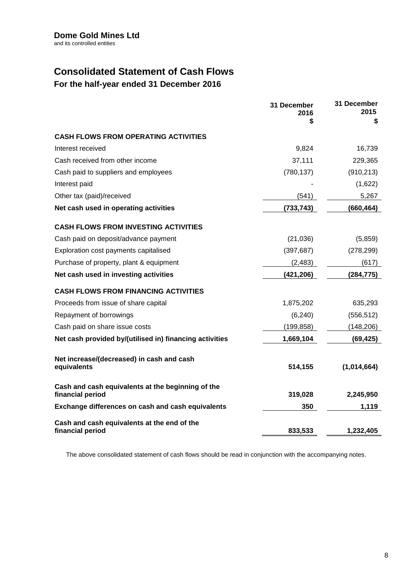# **Consolidated Statement of Cash Flows**

**For the half-year ended 31 December 2016**

|                                                                       | 31 December<br>2016 | 31 December<br>2015 |
|-----------------------------------------------------------------------|---------------------|---------------------|
|                                                                       | \$                  | \$                  |
| <b>CASH FLOWS FROM OPERATING ACTIVITIES</b>                           |                     |                     |
| Interest received                                                     | 9,824               | 16,739              |
| Cash received from other income                                       | 37,111              | 229,365             |
| Cash paid to suppliers and employees                                  | (780, 137)          | (910, 213)          |
| Interest paid                                                         |                     | (1,622)             |
| Other tax (paid)/received                                             | (541)               | 5,267               |
| Net cash used in operating activities                                 | (733, 743)          | (660, 464)          |
| <b>CASH FLOWS FROM INVESTING ACTIVITIES</b>                           |                     |                     |
| Cash paid on deposit/advance payment                                  | (21,036)            | (5,859)             |
| Exploration cost payments capitalised                                 | (397, 687)          | (278, 299)          |
| Purchase of property, plant & equipment                               | (2, 483)            | (617)               |
| Net cash used in investing activities                                 | (421, 206)          | (284, 775)          |
| <b>CASH FLOWS FROM FINANCING ACTIVITIES</b>                           |                     |                     |
| Proceeds from issue of share capital                                  | 1,875,202           | 635,293             |
| Repayment of borrowings                                               | (6, 240)            | (556, 512)          |
| Cash paid on share issue costs                                        | (199, 858)          | (148, 206)          |
| Net cash provided by/(utilised in) financing activities               | 1,669,104           | (69, 425)           |
| Net increase/(decreased) in cash and cash<br>equivalents              | 514,155             | (1,014,664)         |
| Cash and cash equivalents at the beginning of the<br>financial period | 319,028             | 2,245,950           |
| Exchange differences on cash and cash equivalents                     | 350                 | 1,119               |
| Cash and cash equivalents at the end of the<br>financial period       | 833,533             | 1,232,405           |

The above consolidated statement of cash flows should be read in conjunction with the accompanying notes.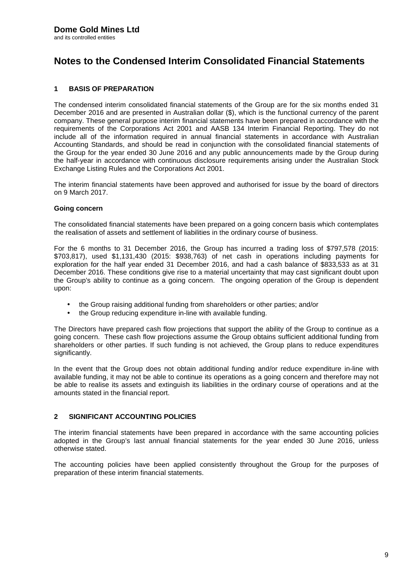### **1 BASIS OF PREPARATION**

The condensed interim consolidated financial statements of the Group are for the six months ended 31 December 2016 and are presented in Australian dollar (\$), which is the functional currency of the parent company. These general purpose interim financial statements have been prepared in accordance with the requirements of the Corporations Act 2001 and AASB 134 Interim Financial Reporting. They do not include all of the information required in annual financial statements in accordance with Australian Accounting Standards, and should be read in conjunction with the consolidated financial statements of the Group for the year ended 30 June 2016 and any public announcements made by the Group during the half-year in accordance with continuous disclosure requirements arising under the Australian Stock Exchange Listing Rules and the Corporations Act 2001.

The interim financial statements have been approved and authorised for issue by the board of directors on 9 March 2017.

#### **Going concern**

The consolidated financial statements have been prepared on a going concern basis which contemplates the realisation of assets and settlement of liabilities in the ordinary course of business.

For the 6 months to 31 December 2016, the Group has incurred a trading loss of \$797,578 (2015: \$703,817), used \$1,131,430 (2015: \$938,763) of net cash in operations including payments for exploration for the halfyear ended 31 December 2016, and had a cash balance of \$833,533 as at 31 December 2016. These conditions give rise to a material uncertainty that may cast significant doubt upon the Group's ability to continue as a going concern. The ongoing operation of the Group is dependent upon:

- the Group raising additional funding from shareholders or other parties; and/or
- the Group reducing expenditure in-line with available funding.

The Directors have prepared cash flow projections that support the ability of the Group to continue as a going concern. These cash flow projections assume the Group obtains sufficient additional funding from shareholders or other parties. If such funding is not achieved, the Group plans to reduce expenditures significantly.

In the event that the Group does not obtain additional funding and/or reduce expenditure in-line with available funding, it may not be able to continue its operations as a going concern and therefore may not be able to realise its assets and extinguish its liabilities in the ordinary course of operations and at the amounts stated in the financial report.

### **2 SIGNIFICANT ACCOUNTING POLICIES**

The interim financial statements have been prepared in accordance with the same accounting policies adopted in the Group's last annual financial statements for the year ended 30 June 2016, unless otherwise stated.

The accounting policies have been applied consistently throughout the Group for the purposes of preparation of these interim financial statements.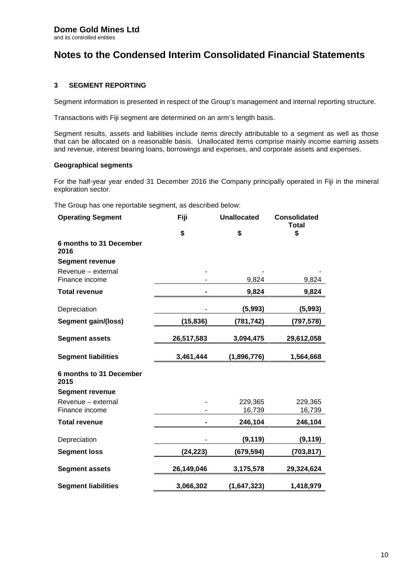### **3 SEGMENT REPORTING**

Segment information is presented in respect of the Group's management and internal reporting structure.

Transactions with Fiji segment are determined on an arm's length basis.

Segment results, assets and liabilities include items directly attributable to a segment as well as those that can be allocated on a reasonable basis. Unallocated items comprise mainly income earning assets and revenue, interest bearing loans, borrowings and expenses, and corporate assets and expenses.

#### **Geographical segments**

For the half-year year ended 31 December 2016 the Company principally operated in Fiji in the mineral exploration sector.

The Group has one reportable segment, as described below:

| <b>Operating Segment</b>             | Fiji       | <b>Unallocated</b> | <b>Consolidated</b><br><b>Total</b> |
|--------------------------------------|------------|--------------------|-------------------------------------|
|                                      | \$         | \$                 | \$                                  |
| 6 months to 31 December<br>2016      |            |                    |                                     |
| <b>Segment revenue</b>               |            |                    |                                     |
| Revenue - external<br>Finance income |            | 9,824              | 9,824                               |
| <b>Total revenue</b>                 |            | 9,824              | 9,824                               |
| Depreciation                         |            | (5,993)            | (5,993)                             |
| Segment gain/(loss)                  | (15, 836)  | (781, 742)         | (797,578)                           |
| <b>Segment assets</b>                | 26,517,583 | 3,094,475          | 29,612,058                          |
| <b>Segment liabilities</b>           | 3,461,444  | (1,896,776)        | 1,564,668                           |
| 6 months to 31 December<br>2015      |            |                    |                                     |
| <b>Segment revenue</b>               |            |                    |                                     |
| Revenue - external                   |            | 229,365            | 229,365                             |
| Finance income                       |            | 16,739             | 16,739                              |
| <b>Total revenue</b>                 |            | 246,104            | 246,104                             |
| Depreciation                         |            | (9, 119)           | (9, 119)                            |
| <b>Segment loss</b>                  | (24, 223)  | (679, 594)         | (703, 817)                          |
| <b>Segment assets</b>                | 26,149,046 | 3,175,578          | 29,324,624                          |
| <b>Segment liabilities</b>           | 3,066,302  | (1,647,323)        | 1,418,979                           |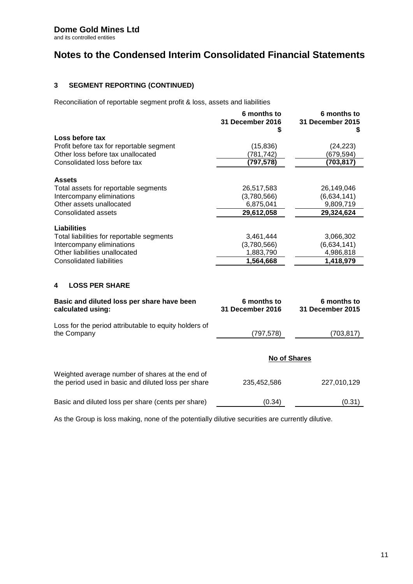### **Dome Gold Mines Ltd**

and its controlled entities

# **Notes to the Condensed Interim Consolidated Financial Statements**

### **3 SEGMENT REPORTING (CONTINUED)**

Reconciliation of reportable segment profit & loss, assets and liabilities

| S                                      | S                                      |
|----------------------------------------|----------------------------------------|
|                                        |                                        |
| (15, 836)                              | (24, 223)                              |
| (781, 742)                             | (679,594)                              |
| (797,578)                              | (703,817)                              |
|                                        |                                        |
| 26,517,583                             | 26,149,046                             |
| (3,780,566)                            | (6,634,141)                            |
| 6,875,041                              | 9,809,719                              |
| 29,612,058                             | 29,324,624                             |
|                                        |                                        |
| 3,461,444                              | 3,066,302                              |
| (3,780,566)                            | (6,634,141)                            |
| 1,883,790                              | 4,986,818                              |
| 1,564,668                              | 1,418,979                              |
|                                        |                                        |
| 6 months to<br><b>31 December 2016</b> | 6 months to<br><b>31 December 2015</b> |
| (797, 578)                             | (703, 817)                             |
| <b>No of Shares</b>                    |                                        |
| 235,452,586                            | 227,010,129                            |
| (0.34)                                 | (0.31)                                 |
|                                        |                                        |

As the Group is loss making, none of the potentially dilutive securities are currently dilutive.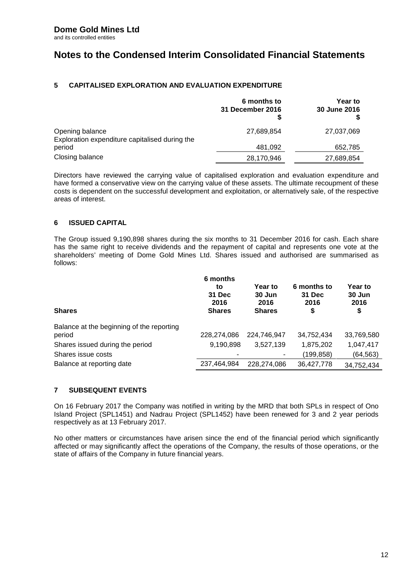### **5 CAPITALISED EXPLORATION AND EVALUATION EXPENDITURE**

|                                                                   | 6 months to<br>31 December 2016<br>S | <b>Year to</b><br>30 June 2016<br>\$ |
|-------------------------------------------------------------------|--------------------------------------|--------------------------------------|
| Opening balance<br>Exploration expenditure capitalised during the | 27,689,854                           | 27,037,069                           |
| period                                                            | 481,092                              | 652,785                              |
| Closing balance                                                   | 28,170,946                           | 27,689,854                           |

Directors have reviewed the carrying value of capitalised exploration and evaluation expenditure and have formed a conservative view on the carrying value of these assets. The ultimate recoupment of these costs is dependent on the successful development and exploitation, or alternatively sale, of the respective areas of interest.

### **6 ISSUED CAPITAL**

The Group issued 9,190,898 shares during the six months to 31 December 2016 for cash. Each share has the same right to receive dividends and the repayment of capital and represents one vote at the shareholders' meeting of Dome Gold Mines Ltd. Shares issued and authorised are summarised as follows:

| <b>Shares</b>                             | 6 months<br>to<br>31 Dec<br>2016<br><b>Shares</b> | <b>Year to</b><br>30 Jun<br>2016<br><b>Shares</b> | 6 months to<br>31 Dec<br>2016<br>\$ | Year to<br>30 Jun<br>2016<br>\$ |
|-------------------------------------------|---------------------------------------------------|---------------------------------------------------|-------------------------------------|---------------------------------|
| Balance at the beginning of the reporting |                                                   |                                                   |                                     |                                 |
| period                                    | 228,274,086                                       | 224,746,947                                       | 34,752,434                          | 33,769,580                      |
| Shares issued during the period           | 9,190,898                                         | 3,527,139                                         | 1,875,202                           | 1,047,417                       |
| Shares issue costs                        |                                                   |                                                   | (199, 858)                          | (64,563)                        |
| Balance at reporting date                 | 237,464,984                                       | 228.274.086                                       | 36,427,778                          | 34,752,434                      |

### **7 SUBSEQUENT EVENTS**

On 16 February 2017 the Company was notified in writing by the MRD that both SPLs in respect of Ono Island Project (SPL1451) and Nadrau Project (SPL1452) have been renewed for 3 and 2 year periods respectively as at 13 February 2017.

No other matters or circumstances have arisen since the end of the financial period which significantly affected or may significantly affect the operations of the Company, the results of those operations, or the state of affairs of the Company in future financial years.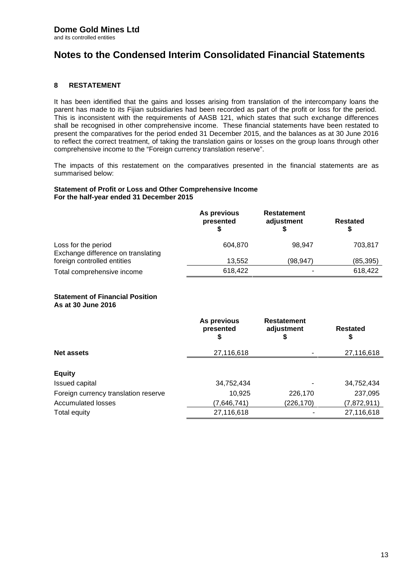### **8 RESTATEMENT**

It has been identified that the gains and losses arising from translation of the intercompany loans the parent has made to its Fijian subsidiaries had been recorded as part of the profit or loss for the period. This is inconsistent with the requirements of AASB 121, which states that such exchange differences shall be recognised in other comprehensive income. These financial statements have been restated to present the comparatives for the period ended 31 December 2015, and the balances as at 30 June 2016 to reflect the correct treatment, of taking the translation gains or losses on the group loans through other comprehensive income to the "Foreign currency translation reserve".

The impacts of this restatement on the comparatives presented in the financial statements are as summarised below:

#### **Statement of Profit or Loss and Other Comprehensive Income For the half-year ended 31 December 2015**

|                                                           | As previous<br>presented | <b>Restatement</b><br>adjustment | <b>Restated</b> |
|-----------------------------------------------------------|--------------------------|----------------------------------|-----------------|
| Loss for the period<br>Exchange difference on translating | 604.870                  | 98.947                           | 703,817         |
| foreign controlled entities                               | 13.552                   | (98,947)                         | (85, 395)       |
| Total comprehensive income                                | 618,422                  |                                  | 618,422         |

#### **Statement of Financial Position As at 30 June 2016**

|                                      | As previous<br>presented<br>S | <b>Restatement</b><br>adjustment<br>S | Restated<br>S |
|--------------------------------------|-------------------------------|---------------------------------------|---------------|
| <b>Net assets</b>                    | 27,116,618                    |                                       | 27,116,618    |
| <b>Equity</b>                        |                               |                                       |               |
| Issued capital                       | 34,752,434                    |                                       | 34,752,434    |
| Foreign currency translation reserve | 10,925                        | 226,170                               | 237,095       |
| <b>Accumulated losses</b>            | (7,646,741)                   | (226, 170)                            | (7,872,911)   |
| Total equity                         | 27,116,618                    |                                       | 27,116,618    |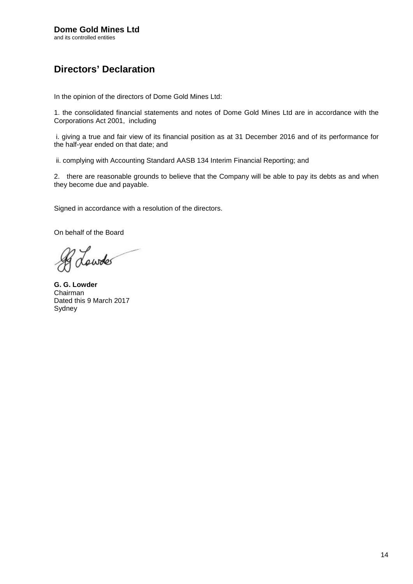# **Directors' Declaration**

In the opinion of the directors of Dome Gold Mines Ltd:

1. the consolidated financial statements and notes of Dome Gold Mines Ltd are in accordance with the Corporations Act 2001, including

i. giving a true and fair view of its financial position as at 31 December 2016 and of its performance for the half-year ended on that date; and

ii. complying with Accounting Standard AASB 134 Interim Financial Reporting; and

2. there are reasonable grounds to believe that the Company will be able to pay its debts as and when they become due and payable.

Signed in accordance with a resolution of the directors.

On behalf of the Board

dowder

**G. G. Lowder** Chairman Dated this 9 March 2017 Sydney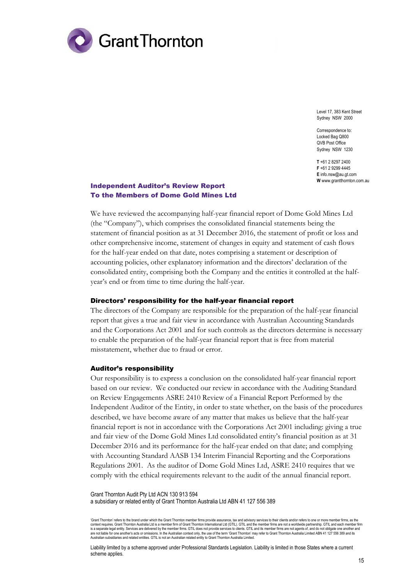

Level 17, 383 Kent Street Sydney NSW 2000

Correspondence to: Locked Bag Q800 QVB Post Office Sydney NSW 1230

**T** +61 2 8297 2400 **F** +61 2 9299 4445 **E** info.nsw@au.gt.com **W** www.grantthornton.com.au

### Independent Auditor's Review Report To the Members of Dome Gold Mines Ltd

We have reviewed the accompanying half-year financial report of Dome Gold Mines Ltd (the "Company"), which comprises the consolidated financial statements being the statement of financial position as at 31 December 2016, the statement of profit or loss and other comprehensive income, statement of changes in equity and statement of cash flows for the half-year ended on that date, notes comprising a statement or description of accounting policies, other explanatory information and the directors' declaration of the consolidated entity, comprising both the Company and the entities it controlled at the halfyear's end or from time to time during the half-year.

#### Directors' responsibility for the half-year financial report

The directors of the Company are responsible for the preparation of the half-year financial report that gives a true and fair view in accordance with Australian Accounting Standards and the Corporations Act 2001 and for such controls as the directors determine is necessary to enable the preparation of the half-year financial report that is free from material misstatement, whether due to fraud or error.

#### Auditor's responsibility

Our responsibility is to express a conclusion on the consolidated half-year financial report based on our review. We conducted our review in accordance with the Auditing Standard on Review Engagements ASRE 2410 Review of a Financial Report Performed by the Independent Auditor of the Entity, in order to state whether, on the basis of the procedures described, we have become aware of any matter that makes us believe that the half-year financial report is not in accordance with the Corporations Act 2001 including: giving a true and fair view of the Dome Gold Mines Ltd consolidated entity's financial position as at 31 December 2016 and its performance for the half-year ended on that date; and complying with Accounting Standard AASB 134 Interim Financial Reporting and the Corporations Regulations 2001. As the auditor of Dome Gold Mines Ltd, ASRE 2410 requires that we comply with the ethical requirements relevant to the audit of the annual financial report.

Grant Thornton Audit Pty Ltd ACN 130 913 594 a subsidiary or related entity of Grant Thornton Australia Ltd ABN 41 127 556 389

'Grant Thornton' refers to the brand under which the Grant Thornton member firms provide assurance, tax and advisory services to their clients and/or refers to one or more member firms, as the context requires. Grant Thornton Australia Ltd is a member firm of Grant Thornton International Ltd (GTIL). GTIL and the member firms are not a worldwide partnership. GTIL and each member firm<br>is a senarate lenal entity. S is a separate legal entity. Services are delivered by the member firms. GTIL does not provide services to clients. GTIL and its member firms are not agents of, and do not obligate one another and<br>are not liable for one ano

Liability limited by a scheme approved under Professional Standards Legislation. Liability is limited in those States where a current scheme applies.